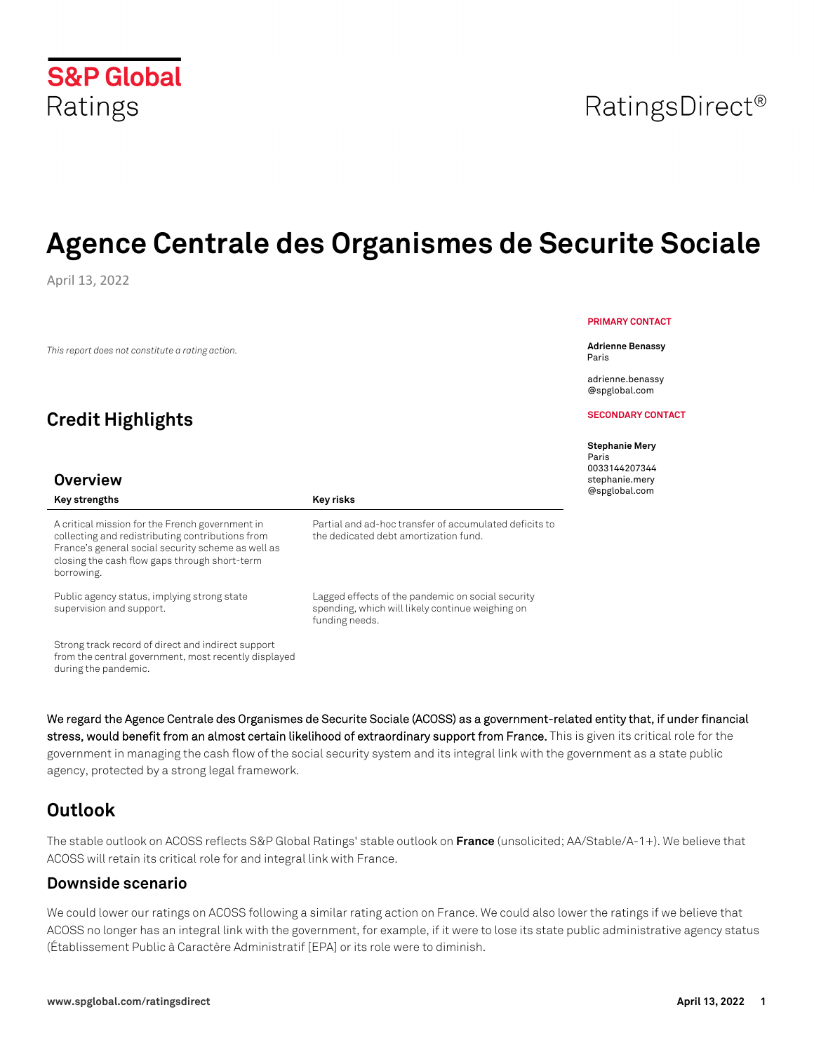# **S&P Global** Ratings

# **Agence Centrale des Organismes de Securite Sociale**

April 13, 2022

*This report does not constitute a rating action.*

# **Credit Highlights**

### **Overview**

#### A critical mission for the French government in collecting and redistributing contributions from France's general social security scheme as well as closing the cash flow gaps through short-term borrowing.

Key strengths **Key risks Key risks** 

Public agency status, implying strong state supervision and support.

Strong track record of direct and indirect support from the central government, most recently displayed during the pandemic.

Partial and ad-hoc transfer of accumulated deficits to the dedicated debt amortization fund.

Lagged effects of the pandemic on social security spending, which will likely continue weighing on funding needs.

**We regard the Agence Centrale des Organismes de Securite Sociale (ACOSS) as a government-related entity that, if under financial stress, would benefit from an almost certain likelihood of extraordinary support from France.** This is given its critical role for the government in managing the cash flow of the social security system and its integral link with the government as a state public agency, protected by a strong legal framework.

# **Outlook**

The stable outlook on ACOSS reflects S&P Global Ratings' stable outlook on **France** (unsolicited; AA/Stable/A-1+). We believe that ACOSS will retain its critical role for and integral link with France.

### **Downside scenario**

We could lower our ratings on ACOSS following a similar rating action on France. We could also lower the ratings if we believe that ACOSS no longer has an integral link with the government, for example, if it were to lose its state public administrative agency status (Établissement Public à Caractère Administratif [EPA] or its role were to diminish.

#### **PRIMARY CONTACT**

**Adrienne Benassy** Paris

adrienne.benassy @spglobal.com

**SECONDARY CONTACT**

#### **Stephanie Mery**

Paris 0033144207344 stephanie.mery @spglobal.com

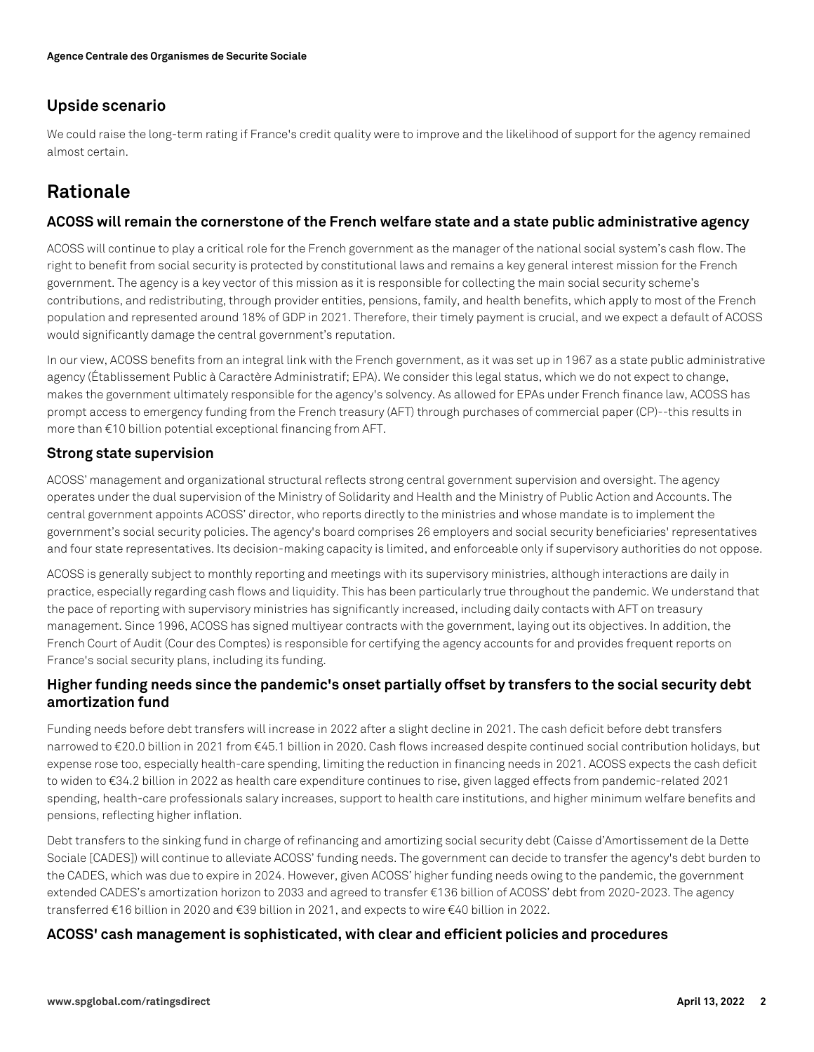### **Upside scenario**

We could raise the long-term rating if France's credit quality were to improve and the likelihood of support for the agency remained almost certain.

## **Rationale**

### **ACOSS will remain the cornerstone of the French welfare state and a state public administrative agency**

ACOSS will continue to play a critical role for the French government as the manager of the national social system's cash flow. The right to benefit from social security is protected by constitutional laws and remains a key general interest mission for the French government. The agency is a key vector of this mission as it is responsible for collecting the main social security scheme's contributions, and redistributing, through provider entities, pensions, family, and health benefits, which apply to most of the French population and represented around 18% of GDP in 2021. Therefore, their timely payment is crucial, and we expect a default of ACOSS would significantly damage the central government's reputation.

In our view, ACOSS benefits from an integral link with the French government, as it was set up in 1967 as a state public administrative agency (Établissement Public à Caractère Administratif; EPA). We consider this legal status, which we do not expect to change, makes the government ultimately responsible for the agency's solvency. As allowed for EPAs under French finance law, ACOSS has prompt access to emergency funding from the French treasury (AFT) through purchases of commercial paper (CP)--this results in more than €10 billion potential exceptional financing from AFT.

### **Strong state supervision**

ACOSS' management and organizational structural reflects strong central government supervision and oversight. The agency operates under the dual supervision of the Ministry of Solidarity and Health and the Ministry of Public Action and Accounts. The central government appoints ACOSS' director, who reports directly to the ministries and whose mandate is to implement the government's social security policies. The agency's board comprises 26 employers and social security beneficiaries' representatives and four state representatives. Its decision-making capacity is limited, and enforceable only if supervisory authorities do not oppose.

ACOSS is generally subject to monthly reporting and meetings with its supervisory ministries, although interactions are daily in practice, especially regarding cash flows and liquidity. This has been particularly true throughout the pandemic. We understand that the pace of reporting with supervisory ministries has significantly increased, including daily contacts with AFT on treasury management. Since 1996, ACOSS has signed multiyear contracts with the government, laying out its objectives. In addition, the French Court of Audit (Cour des Comptes) is responsible for certifying the agency accounts for and provides frequent reports on France's social security plans, including its funding.

### **Higher funding needs since the pandemic's onset partially offset by transfers to the social security debt amortization fund**

Funding needs before debt transfers will increase in 2022 after a slight decline in 2021. The cash deficit before debt transfers narrowed to €20.0 billion in 2021 from €45.1 billion in 2020. Cash flows increased despite continued social contribution holidays, but expense rose too, especially health-care spending, limiting the reduction in financing needs in 2021. ACOSS expects the cash deficit to widen to €34.2 billion in 2022 as health care expenditure continues to rise, given lagged effects from pandemic-related 2021 spending, health-care professionals salary increases, support to health care institutions, and higher minimum welfare benefits and pensions, reflecting higher inflation.

Debt transfers to the sinking fund in charge of refinancing and amortizing social security debt (Caisse d'Amortissement de la Dette Sociale [CADES]) will continue to alleviate ACOSS' funding needs. The government can decide to transfer the agency's debt burden to the CADES, which was due to expire in 2024. However, given ACOSS' higher funding needs owing to the pandemic, the government extended CADES's amortization horizon to 2033 and agreed to transfer €136 billion of ACOSS' debt from 2020-2023. The agency transferred €16 billion in 2020 and €39 billion in 2021, and expects to wire €40 billion in 2022.

### **ACOSS' cash management is sophisticated, with clear and efficient policies and procedures**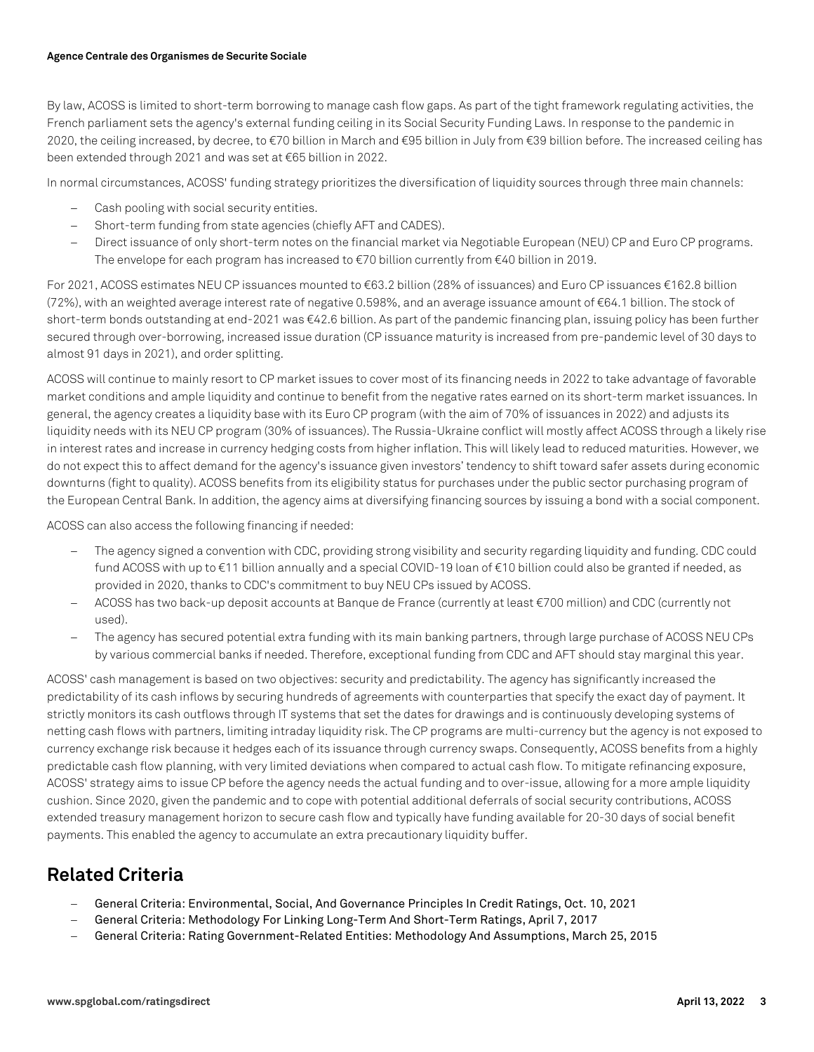#### **Agence Centrale des Organismes de Securite Sociale**

By law, ACOSS is limited to short-term borrowing to manage cash flow gaps. As part of the tight framework regulating activities, the French parliament sets the agency's external funding ceiling in its Social Security Funding Laws. In response to the pandemic in 2020, the ceiling increased, by decree, to €70 billion in March and €95 billion in July from €39 billion before. The increased ceiling has been extended through 2021 and was set at €65 billion in 2022.

In normal circumstances, ACOSS' funding strategy prioritizes the diversification of liquidity sources through three main channels:

- Cash pooling with social security entities.
- Short-term funding from state agencies (chiefly AFT and CADES).
- Direct issuance of only short-term notes on the financial market via Negotiable European (NEU) CP and Euro CP programs. The envelope for each program has increased to €70 billion currently from €40 billion in 2019.

For 2021, ACOSS estimates NEU CP issuances mounted to €63.2 billion (28% of issuances) and Euro CP issuances €162.8 billion (72%), with an weighted average interest rate of negative 0.598%, and an average issuance amount of €64.1 billion. The stock of short-term bonds outstanding at end-2021 was €42.6 billion. As part of the pandemic financing plan, issuing policy has been further secured through over-borrowing, increased issue duration (CP issuance maturity is increased from pre-pandemic level of 30 days to almost 91 days in 2021), and order splitting.

ACOSS will continue to mainly resort to CP market issues to cover most of its financing needs in 2022 to take advantage of favorable market conditions and ample liquidity and continue to benefit from the negative rates earned on its short-term market issuances. In general, the agency creates a liquidity base with its Euro CP program (with the aim of 70% of issuances in 2022) and adjusts its liquidity needs with its NEU CP program (30% of issuances). The Russia-Ukraine conflict will mostly affect ACOSS through a likely rise in interest rates and increase in currency hedging costs from higher inflation. This will likely lead to reduced maturities. However, we do not expect this to affect demand for the agency's issuance given investors' tendency to shift toward safer assets during economic downturns (fight to quality). ACOSS benefits from its eligibility status for purchases under the public sector purchasing program of the European Central Bank. In addition, the agency aims at diversifying financing sources by issuing a bond with a social component.

ACOSS can also access the following financing if needed:

- The agency signed a convention with CDC, providing strong visibility and security regarding liquidity and funding. CDC could fund ACOSS with up to €11 billion annually and a special COVID-19 loan of €10 billion could also be granted if needed, as provided in 2020, thanks to CDC's commitment to buy NEU CPs issued by ACOSS.
- ACOSS has two back-up deposit accounts at Banque de France (currently at least €700 million) and CDC (currently not used).
- The agency has secured potential extra funding with its main banking partners, through large purchase of ACOSS NEU CPs by various commercial banks if needed. Therefore, exceptional funding from CDC and AFT should stay marginal this year.

ACOSS' cash management is based on two objectives: security and predictability. The agency has significantly increased the predictability of its cash inflows by securing hundreds of agreements with counterparties that specify the exact day of payment. It strictly monitors its cash outflows through IT systems that set the dates for drawings and is continuously developing systems of netting cash flows with partners, limiting intraday liquidity risk. The CP programs are multi-currency but the agency is not exposed to currency exchange risk because it hedges each of its issuance through currency swaps. Consequently, ACOSS benefits from a highly predictable cash flow planning, with very limited deviations when compared to actual cash flow. To mitigate refinancing exposure, ACOSS' strategy aims to issue CP before the agency needs the actual funding and to over-issue, allowing for a more ample liquidity cushion. Since 2020, given the pandemic and to cope with potential additional deferrals of social security contributions, ACOSS extended treasury management horizon to secure cash flow and typically have funding available for 20-30 days of social benefit payments. This enabled the agency to accumulate an extra precautionary liquidity buffer.

## **Related Criteria**

- General Criteria: Environmental, Social, And Governance Principles In Credit Ratings, Oct. 10, 2021
- General Criteria: Methodology For Linking Long-Term And Short-Term Ratings, April 7, 2017
- General Criteria: Rating Government-Related Entities: Methodology And Assumptions, March 25, 2015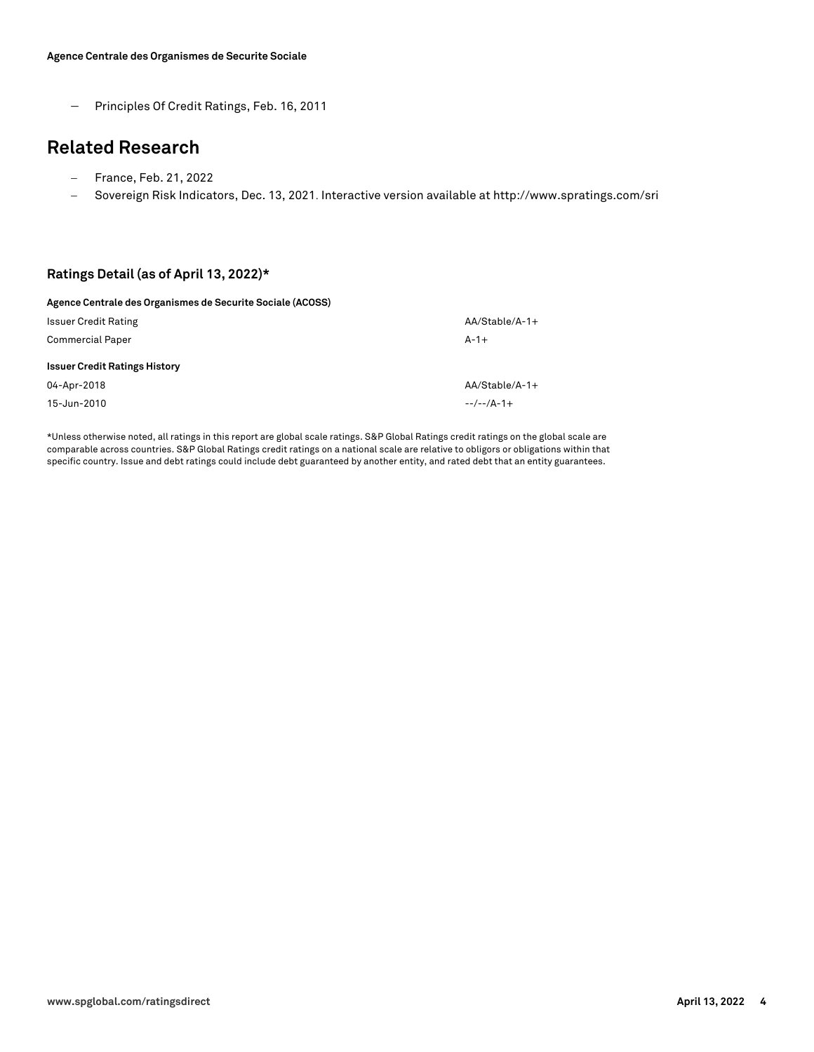- Principles Of Credit Ratings, Feb. 16, 2011

### **Related Research**

- France, Feb. 21, 2022
- Sovereign Risk Indicators, Dec. 13, 2021. Interactive version available at http://www.spratings.com/sri

#### **Ratings Detail (as of April 13, 2022)\***

| Agence Centrale des Organismes de Securite Sociale (ACOSS) |                  |
|------------------------------------------------------------|------------------|
| <b>Issuer Credit Rating</b>                                | $AA/Stable/A-1+$ |
| <b>Commercial Paper</b>                                    | $A - 1 +$        |
| <b>Issuer Credit Ratings History</b>                       |                  |
| 04-Apr-2018                                                | $AA/Stable/A-1+$ |
| 15-Jun-2010                                                | $-/-$ / $A-1+$   |

\*Unless otherwise noted, all ratings in this report are global scale ratings. S&P Global Ratings credit ratings on the global scale are comparable across countries. S&P Global Ratings credit ratings on a national scale are relative to obligors or obligations within that specific country. Issue and debt ratings could include debt guaranteed by another entity, and rated debt that an entity guarantees.